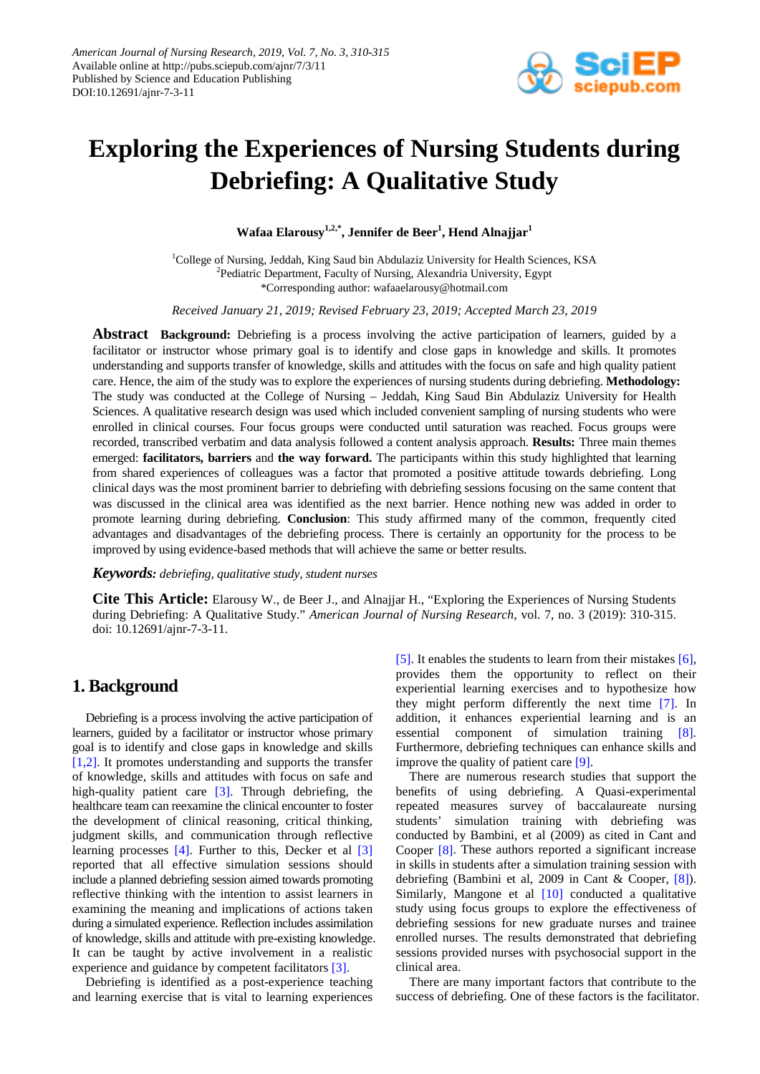

# **Exploring the Experiences of Nursing Students during Debriefing: A Qualitative Study**

**Wafaa Elarousy1,2,\* , Jennifer de Beer<sup>1</sup> , Hend Alnajjar<sup>1</sup>**

<sup>1</sup>College of Nursing, Jeddah, King Saud bin Abdulaziz University for Health Sciences, KSA <sup>2</sup>Pediatric Department, Faculty of Nursing, Alexandria University, Egypt \*Corresponding author: wafaaelarousy@hotmail.com

*Received January 21, 2019; Revised February 23, 2019; Accepted March 23, 2019*

**Abstract Background:** Debriefing is a process involving the active participation of learners, guided by a facilitator or instructor whose primary goal is to identify and close gaps in knowledge and skills. It promotes understanding and supports transfer of knowledge, skills and attitudes with the focus on safe and high quality patient care. Hence, the aim of the study was to explore the experiences of nursing students during debriefing. **Methodology:**  The study was conducted at the College of Nursing – Jeddah, King Saud Bin Abdulaziz University for Health Sciences. A qualitative research design was used which included convenient sampling of nursing students who were enrolled in clinical courses. Four focus groups were conducted until saturation was reached. Focus groups were recorded, transcribed verbatim and data analysis followed a content analysis approach. **Results:** Three main themes emerged: **facilitators, barriers** and **the way forward.** The participants within this study highlighted that learning from shared experiences of colleagues was a factor that promoted a positive attitude towards debriefing. Long clinical days was the most prominent barrier to debriefing with debriefing sessions focusing on the same content that was discussed in the clinical area was identified as the next barrier. Hence nothing new was added in order to promote learning during debriefing. **Conclusion**: This study affirmed many of the common, frequently cited advantages and disadvantages of the debriefing process. There is certainly an opportunity for the process to be improved by using evidence-based methods that will achieve the same or better results.

#### *Keywords: debriefing, qualitative study, student nurses*

**Cite This Article:** Elarousy W., de Beer J., and Alnajjar H., "Exploring the Experiences of Nursing Students during Debriefing: A Qualitative Study." *American Journal of Nursing Research*, vol. 7, no. 3 (2019): 310-315. doi: 10.12691/ajnr-7-3-11.

# **1. Background**

Debriefing is a process involving the active participation of learners, guided by a facilitator or instructor whose primary goal is to identify and close gaps in knowledge and skills [\[1,2\].](#page-5-0) It promotes understanding and supports the transfer of knowledge, skills and attitudes with focus on safe and high-quality patient care [\[3\].](#page-5-1) Through debriefing, the healthcare team can reexamine the clinical encounter to foster the development of clinical reasoning, critical thinking, judgment skills, and communication through reflective learning processes [\[4\].](#page-5-2) Further to this, Decker et al [\[3\]](#page-5-1) reported that all effective simulation sessions should include a planned debriefing session aimed towards promoting reflective thinking with the intention to assist learners in examining the meaning and implications of actions taken during a simulated experience. Reflection includes assimilation of knowledge, skills and attitude with pre-existing knowledge. It can be taught by active involvement in a realistic experience and guidance by competent facilitators [\[3\].](#page-5-1)

Debriefing is identified as a post-experience teaching and learning exercise that is vital to learning experiences [\[5\].](#page-5-3) It enables the students to learn from their mistakes [\[6\],](#page-5-4) provides them the opportunity to reflect on their experiential learning exercises and to hypothesize how they might perform differently the next time [\[7\].](#page-5-5) In addition, it enhances experiential learning and is an essential component of simulation training [\[8\].](#page-5-6) Furthermore, debriefing techniques can enhance skills and improve the quality of patient car[e \[9\].](#page-5-7) 

There are numerous research studies that support the benefits of using debriefing. A Quasi-experimental repeated measures survey of baccalaureate nursing students' simulation training with debriefing was conducted by Bambini, et al (2009) as cited in Cant and Cooper [\[8\].](#page-5-6) These authors reported a significant increase in skills in students after a simulation training session with debriefing (Bambini et al, 2009 in Cant & Cooper, [\[8\]\)](#page-5-6). Similarly, Mangone et al [\[10\]](#page-5-8) conducted a qualitative study using focus groups to explore the effectiveness of debriefing sessions for new graduate nurses and trainee enrolled nurses. The results demonstrated that debriefing sessions provided nurses with psychosocial support in the clinical area.

There are many important factors that contribute to the success of debriefing. One of these factors is the facilitator.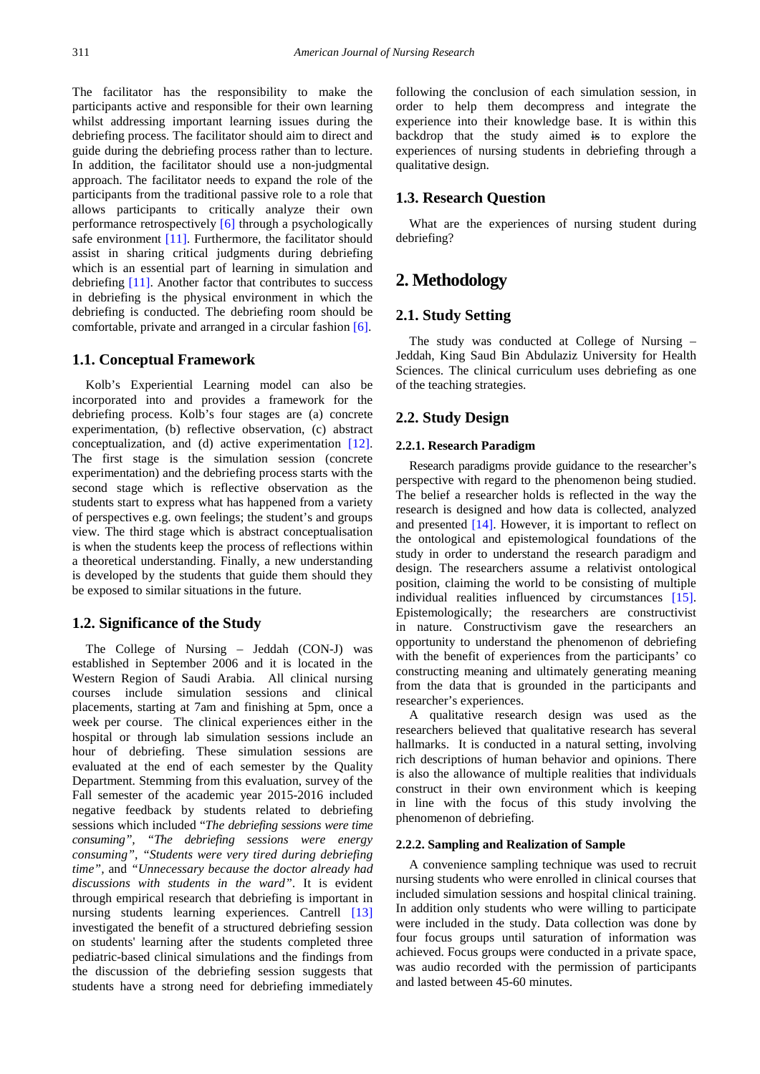The facilitator has the responsibility to make the participants active and responsible for their own learning whilst addressing important learning issues during the debriefing process. The facilitator should aim to direct and guide during the debriefing process rather than to lecture. In addition, the facilitator should use a non-judgmental approach. The facilitator needs to expand the role of the participants from the traditional passive role to a role that allows participants to critically analyze their own performance retrospectively [\[6\]](#page-5-4) through a psychologically safe environment [\[11\].](#page-5-9) Furthermore, the facilitator should assist in sharing critical judgments during debriefing which is an essential part of learning in simulation and debriefing [\[11\].](#page-5-9) Another factor that contributes to success in debriefing is the physical environment in which the debriefing is conducted. The debriefing room should be comfortable, private and arranged in a circular fashion [\[6\].](#page-5-4)

## **1.1. Conceptual Framework**

Kolb's Experiential Learning model can also be incorporated into and provides a framework for the debriefing process. Kolb's four stages are (a) concrete experimentation, (b) reflective observation, (c) abstract conceptualization, and (d) active experimentation [\[12\].](#page-5-10) The first stage is the simulation session (concrete experimentation) and the debriefing process starts with the second stage which is reflective observation as the students start to express what has happened from a variety of perspectives e.g. own feelings; the student's and groups view. The third stage which is abstract conceptualisation is when the students keep the process of reflections within a theoretical understanding. Finally, a new understanding is developed by the students that guide them should they be exposed to similar situations in the future.

#### **1.2. Significance of the Study**

The College of Nursing – Jeddah (CON-J) was established in September 2006 and it is located in the Western Region of Saudi Arabia. All clinical nursing courses include simulation sessions and clinical placements, starting at 7am and finishing at 5pm, once a week per course. The clinical experiences either in the hospital or through lab simulation sessions include an hour of debriefing. These simulation sessions are evaluated at the end of each semester by the Quality Department. Stemming from this evaluation, survey of the Fall semester of the academic year 2015-2016 included negative feedback by students related to debriefing sessions which included "*The debriefing sessions were time consuming", "The debriefing sessions were energy consuming", "Students were very tired during debriefing time",* and *"Unnecessary because the doctor already had discussions with students in the ward"*. It is evident through empirical research that debriefing is important in nursing students learning experiences. Cantrell [\[13\]](#page-5-11) investigated the benefit of a structured debriefing session on students' learning after the students completed three pediatric-based clinical simulations and the findings from the discussion of the debriefing session suggests that students have a strong need for debriefing immediately following the conclusion of each simulation session, in order to help them decompress and integrate the experience into their knowledge base. It is within this backdrop that the study aimed is to explore the experiences of nursing students in debriefing through a qualitative design.

## **1.3. Research Question**

What are the experiences of nursing student during debriefing?

# **2. Methodology**

## **2.1. Study Setting**

The study was conducted at College of Nursing – Jeddah, King Saud Bin Abdulaziz University for Health Sciences. The clinical curriculum uses debriefing as one of the teaching strategies.

## **2.2. Study Design**

#### **2.2.1. Research Paradigm**

Research paradigms provide guidance to the researcher's perspective with regard to the phenomenon being studied. The belief a researcher holds is reflected in the way the research is designed and how data is collected, analyzed and presented [\[14\].](#page-5-12) However, it is important to reflect on the ontological and epistemological foundations of the study in order to understand the research paradigm and design. The researchers assume a relativist ontological position, claiming the world to be consisting of multiple individual realities influenced by circumstances [\[15\].](#page-5-13) Epistemologically; the researchers are constructivist in nature. Constructivism gave the researchers an opportunity to understand the phenomenon of debriefing with the benefit of experiences from the participants' co constructing meaning and ultimately generating meaning from the data that is grounded in the participants and researcher's experiences.

A qualitative research design was used as the researchers believed that qualitative research has several hallmarks. It is conducted in a natural setting, involving rich descriptions of human behavior and opinions. There is also the allowance of multiple realities that individuals construct in their own environment which is keeping in line with the focus of this study involving the phenomenon of debriefing.

#### **2.2.2. Sampling and Realization of Sample**

A convenience sampling technique was used to recruit nursing students who were enrolled in clinical courses that included simulation sessions and hospital clinical training. In addition only students who were willing to participate were included in the study. Data collection was done by four focus groups until saturation of information was achieved. Focus groups were conducted in a private space, was audio recorded with the permission of participants and lasted between 45-60 minutes.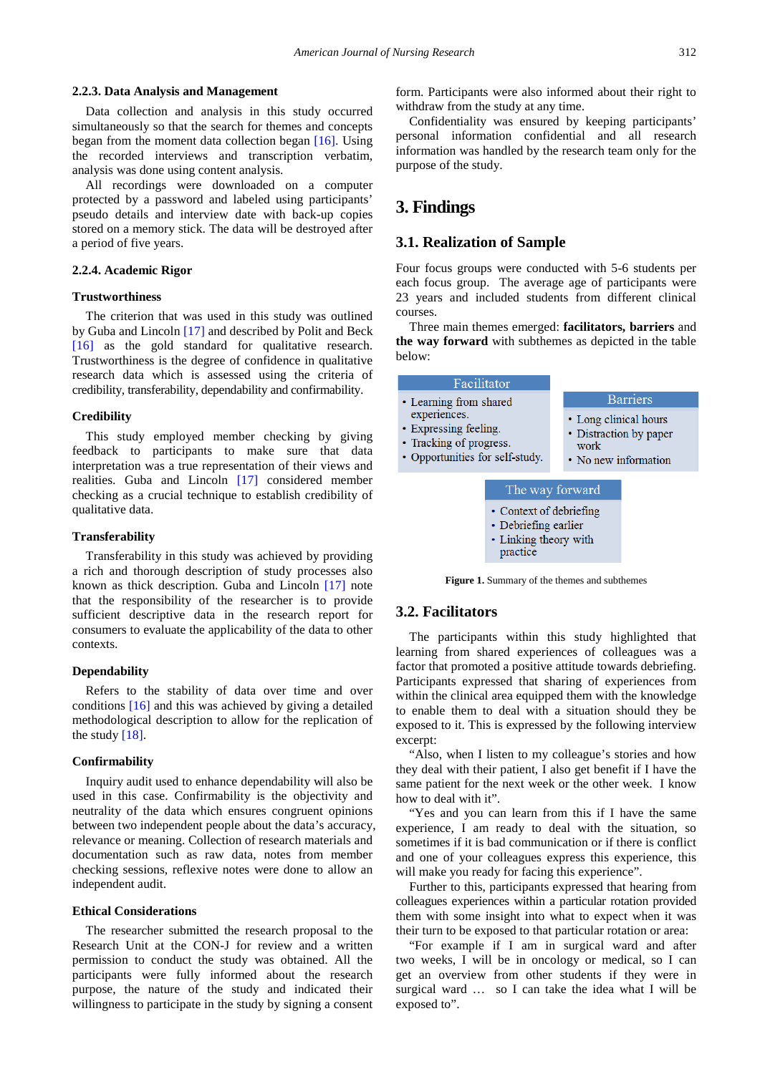#### **2.2.3. Data Analysis and Management**

Data collection and analysis in this study occurred simultaneously so that the search for themes and concepts began from the moment data collection began [\[16\].](#page-5-14) Using the recorded interviews and transcription verbatim, analysis was done using content analysis.

All recordings were downloaded on a computer protected by a password and labeled using participants' pseudo details and interview date with back-up copies stored on a memory stick. The data will be destroyed after a period of five years.

#### **2.2.4. Academic Rigor**

#### **Trustworthiness**

The criterion that was used in this study was outlined by Guba and Lincoln [\[17\]](#page-5-15) and described by Polit and Beck [\[16\]](#page-5-14) as the gold standard for qualitative research. Trustworthiness is the degree of confidence in qualitative research data which is assessed using the criteria of credibility, transferability, dependability and confirmability.

#### **Credibility**

This study employed member checking by giving feedback to participants to make sure that data interpretation was a true representation of their views and realities. Guba and Lincoln [\[17\]](#page-5-15) considered member checking as a crucial technique to establish credibility of qualitative data.

#### **Transferability**

Transferability in this study was achieved by providing a rich and thorough description of study processes also known as thick description. Guba and Lincoln [\[17\]](#page-5-15) note that the responsibility of the researcher is to provide sufficient descriptive data in the research report for consumers to evaluate the applicability of the data to other contexts.

#### **Dependability**

Refers to the stability of data over time and over conditions [\[16\]](#page-5-14) and this was achieved by giving a detailed methodological description to allow for the replication of the study  $[18]$ .

#### **Confirmability**

Inquiry audit used to enhance dependability will also be used in this case. Confirmability is the objectivity and neutrality of the data which ensures congruent opinions between two independent people about the data's accuracy, relevance or meaning. Collection of research materials and documentation such as raw data, notes from member checking sessions, reflexive notes were done to allow an independent audit.

#### **Ethical Considerations**

The researcher submitted the research proposal to the Research Unit at the CON-J for review and a written permission to conduct the study was obtained. All the participants were fully informed about the research purpose, the nature of the study and indicated their willingness to participate in the study by signing a consent form. Participants were also informed about their right to withdraw from the study at any time.

Confidentiality was ensured by keeping participants' personal information confidential and all research information was handled by the research team only for the purpose of the study.

# **3. Findings**

#### **3.1. Realization of Sample**

Four focus groups were conducted with 5-6 students per each focus group. The average age of participants were 23 years and included students from different clinical courses.

Three main themes emerged: **facilitators, barriers** and **the way forward** with subthemes as depicted in the table below:

| Facilitator                                                                                          |                                                                                 |
|------------------------------------------------------------------------------------------------------|---------------------------------------------------------------------------------|
| Learning from shared                                                                                 | <b>Barriers</b>                                                                 |
| experiences.<br><b>Expressing feeling.</b><br>Tracking of progress.<br>Opportunities for self-study. | • Long clinical hours<br>• Distraction by paper<br>work<br>• No new information |
| The way forward                                                                                      |                                                                                 |
| • Context of debriefing<br>• Debriefing earlier<br>• Linking theory with<br>practice                 |                                                                                 |

**Figure 1.** Summary of the themes and subthemes

## **3.2. Facilitators**

The participants within this study highlighted that learning from shared experiences of colleagues was a factor that promoted a positive attitude towards debriefing. Participants expressed that sharing of experiences from within the clinical area equipped them with the knowledge to enable them to deal with a situation should they be exposed to it. This is expressed by the following interview excerpt:

"Also, when I listen to my colleague's stories and how they deal with their patient, I also get benefit if I have the same patient for the next week or the other week. I know how to deal with it".

"Yes and you can learn from this if I have the same experience, I am ready to deal with the situation, so sometimes if it is bad communication or if there is conflict and one of your colleagues express this experience, this will make you ready for facing this experience".

Further to this, participants expressed that hearing from colleagues experiences within a particular rotation provided them with some insight into what to expect when it was their turn to be exposed to that particular rotation or area:

"For example if I am in surgical ward and after two weeks, I will be in oncology or medical, so I can get an overview from other students if they were in surgical ward … so I can take the idea what I will be exposed to".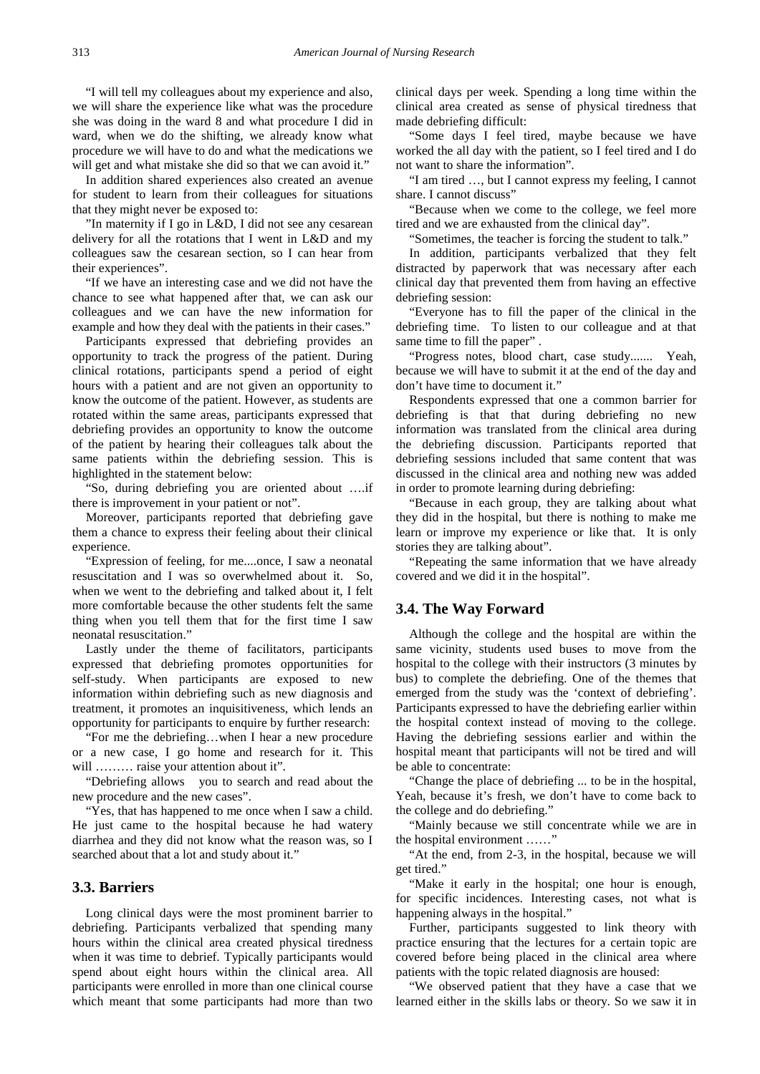"I will tell my colleagues about my experience and also, we will share the experience like what was the procedure she was doing in the ward 8 and what procedure I did in ward, when we do the shifting, we already know what procedure we will have to do and what the medications we will get and what mistake she did so that we can avoid it."

In addition shared experiences also created an avenue for student to learn from their colleagues for situations that they might never be exposed to:

"In maternity if I go in L&D, I did not see any cesarean delivery for all the rotations that I went in L&D and my colleagues saw the cesarean section, so I can hear from their experiences".

"If we have an interesting case and we did not have the chance to see what happened after that, we can ask our colleagues and we can have the new information for example and how they deal with the patients in their cases."

Participants expressed that debriefing provides an opportunity to track the progress of the patient. During clinical rotations, participants spend a period of eight hours with a patient and are not given an opportunity to know the outcome of the patient. However, as students are rotated within the same areas, participants expressed that debriefing provides an opportunity to know the outcome of the patient by hearing their colleagues talk about the same patients within the debriefing session. This is highlighted in the statement below:

"So, during debriefing you are oriented about ….if there is improvement in your patient or not".

Moreover, participants reported that debriefing gave them a chance to express their feeling about their clinical experience.

"Expression of feeling, for me....once, I saw a neonatal resuscitation and I was so overwhelmed about it. So, when we went to the debriefing and talked about it, I felt more comfortable because the other students felt the same thing when you tell them that for the first time I saw neonatal resuscitation."

Lastly under the theme of facilitators, participants expressed that debriefing promotes opportunities for self-study. When participants are exposed to new information within debriefing such as new diagnosis and treatment, it promotes an inquisitiveness, which lends an opportunity for participants to enquire by further research:

"For me the debriefing…when I hear a new procedure or a new case, I go home and research for it. This will ……… raise your attention about it".

"Debriefing allows you to search and read about the new procedure and the new cases".

"Yes, that has happened to me once when I saw a child. He just came to the hospital because he had watery diarrhea and they did not know what the reason was, so I searched about that a lot and study about it."

## **3.3. Barriers**

Long clinical days were the most prominent barrier to debriefing. Participants verbalized that spending many hours within the clinical area created physical tiredness when it was time to debrief. Typically participants would spend about eight hours within the clinical area. All participants were enrolled in more than one clinical course which meant that some participants had more than two

clinical days per week. Spending a long time within the clinical area created as sense of physical tiredness that made debriefing difficult:

"Some days I feel tired, maybe because we have worked the all day with the patient, so I feel tired and I do not want to share the information".

"I am tired …, but I cannot express my feeling, I cannot share. I cannot discuss"

"Because when we come to the college, we feel more tired and we are exhausted from the clinical day".

"Sometimes, the teacher is forcing the student to talk."

In addition, participants verbalized that they felt distracted by paperwork that was necessary after each clinical day that prevented them from having an effective debriefing session:

"Everyone has to fill the paper of the clinical in the debriefing time. To listen to our colleague and at that same time to fill the paper".

"Progress notes, blood chart, case study....... Yeah, because we will have to submit it at the end of the day and don't have time to document it."

Respondents expressed that one a common barrier for debriefing is that that during debriefing no new information was translated from the clinical area during the debriefing discussion. Participants reported that debriefing sessions included that same content that was discussed in the clinical area and nothing new was added in order to promote learning during debriefing:

"Because in each group, they are talking about what they did in the hospital, but there is nothing to make me learn or improve my experience or like that. It is only stories they are talking about".

"Repeating the same information that we have already covered and we did it in the hospital".

## **3.4. The Way Forward**

Although the college and the hospital are within the same vicinity, students used buses to move from the hospital to the college with their instructors (3 minutes by bus) to complete the debriefing. One of the themes that emerged from the study was the 'context of debriefing'. Participants expressed to have the debriefing earlier within the hospital context instead of moving to the college. Having the debriefing sessions earlier and within the hospital meant that participants will not be tired and will be able to concentrate:

"Change the place of debriefing ... to be in the hospital, Yeah, because it's fresh, we don't have to come back to the college and do debriefing."

"Mainly because we still concentrate while we are in the hospital environment ……"

"At the end, from 2-3, in the hospital, because we will get tired."

"Make it early in the hospital; one hour is enough, for specific incidences. Interesting cases, not what is happening always in the hospital."

Further, participants suggested to link theory with practice ensuring that the lectures for a certain topic are covered before being placed in the clinical area where patients with the topic related diagnosis are housed:

"We observed patient that they have a case that we learned either in the skills labs or theory. So we saw it in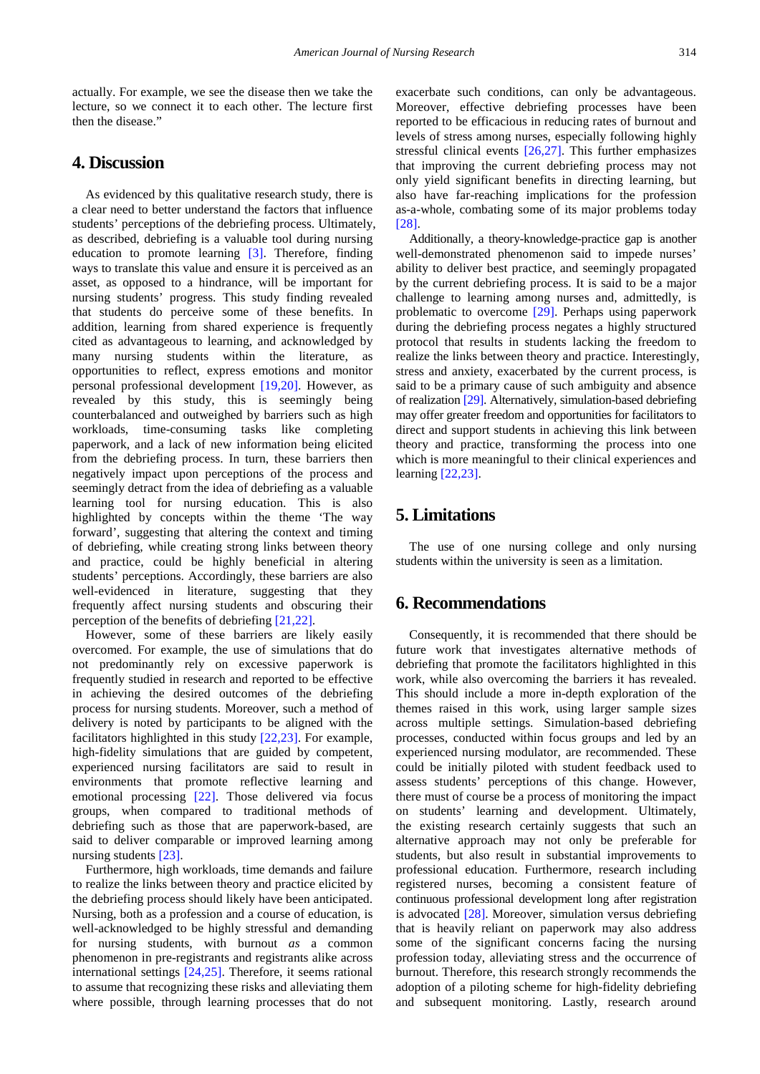actually. For example, we see the disease then we take the lecture, so we connect it to each other. The lecture first then the disease."

# **4. Discussion**

As evidenced by this qualitative research study, there is a clear need to better understand the factors that influence students' perceptions of the debriefing process. Ultimately, as described, debriefing is a valuable tool during nursing education to promote learning [\[3\].](#page-5-1) Therefore, finding ways to translate this value and ensure it is perceived as an asset, as opposed to a hindrance, will be important for nursing students' progress. This study finding revealed that students do perceive some of these benefits. In addition, learning from shared experience is frequently cited as advantageous to learning, and acknowledged by many nursing students within the literature, as opportunities to reflect, express emotions and monitor personal professional development [\[19,20\].](#page-5-17) However, as revealed by this study, this is seemingly being counterbalanced and outweighed by barriers such as high workloads, time-consuming tasks like completing paperwork, and a lack of new information being elicited from the debriefing process. In turn, these barriers then negatively impact upon perceptions of the process and seemingly detract from the idea of debriefing as a valuable learning tool for nursing education. This is also highlighted by concepts within the theme 'The way forward', suggesting that altering the context and timing of debriefing, while creating strong links between theory and practice, could be highly beneficial in altering students' perceptions. Accordingly, these barriers are also well-evidenced in literature, suggesting that they frequently affect nursing students and obscuring their perception of the benefits of debriefing [\[21,22\].](#page-5-18)

However, some of these barriers are likely easily overcomed. For example, the use of simulations that do not predominantly rely on excessive paperwork is frequently studied in research and reported to be effective in achieving the desired outcomes of the debriefing process for nursing students. Moreover, such a method of delivery is noted by participants to be aligned with the facilitators highlighted in this study [\[22,23\].](#page-5-19) For example, high-fidelity simulations that are guided by competent, experienced nursing facilitators are said to result in environments that promote reflective learning and emotional processing [\[22\].](#page-5-19) Those delivered via focus groups, when compared to traditional methods of debriefing such as those that are paperwork-based, are said to deliver comparable or improved learning among nursing students [\[23\].](#page-5-20)

Furthermore, high workloads, time demands and failure to realize the links between theory and practice elicited by the debriefing process should likely have been anticipated. Nursing, both as a profession and a course of education, is well-acknowledged to be highly stressful and demanding for nursing students, with burnout *as* a common phenomenon in pre-registrants and registrants alike across international settings [\[24,25\].](#page-5-21) Therefore, it seems rational to assume that recognizing these risks and alleviating them where possible, through learning processes that do not exacerbate such conditions, can only be advantageous. Moreover, effective debriefing processes have been reported to be efficacious in reducing rates of burnout and levels of stress among nurses, especially following highly stressful clinical events [\[26,27\].](#page-5-22) This further emphasizes that improving the current debriefing process may not only yield significant benefits in directing learning, but also have far-reaching implications for the profession as-a-whole, combating some of its major problems today [\[28\].](#page-5-23)

Additionally, a theory-knowledge-practice gap is another well-demonstrated phenomenon said to impede nurses' ability to deliver best practice, and seemingly propagated by the current debriefing process. It is said to be a major challenge to learning among nurses and, admittedly, is problematic to overcome [\[29\].](#page-5-24) Perhaps using paperwork during the debriefing process negates a highly structured protocol that results in students lacking the freedom to realize the links between theory and practice. Interestingly, stress and anxiety, exacerbated by the current process, is said to be a primary cause of such ambiguity and absence of realization [\[29\].](#page-5-24) Alternatively, simulation-based debriefing may offer greater freedom and opportunities for facilitators to direct and support students in achieving this link between theory and practice, transforming the process into one which is more meaningful to their clinical experiences and learning [\[22,23\].](#page-5-19)

# **5. Limitations**

The use of one nursing college and only nursing students within the university is seen as a limitation.

# **6. Recommendations**

Consequently, it is recommended that there should be future work that investigates alternative methods of debriefing that promote the facilitators highlighted in this work, while also overcoming the barriers it has revealed. This should include a more in-depth exploration of the themes raised in this work, using larger sample sizes across multiple settings. Simulation-based debriefing processes, conducted within focus groups and led by an experienced nursing modulator, are recommended. These could be initially piloted with student feedback used to assess students' perceptions of this change. However, there must of course be a process of monitoring the impact on students' learning and development. Ultimately, the existing research certainly suggests that such an alternative approach may not only be preferable for students, but also result in substantial improvements to professional education. Furthermore, research including registered nurses, becoming a consistent feature of continuous professional development long after registration is advocated  $[28]$ . Moreover, simulation versus debriefing that is heavily reliant on paperwork may also address some of the significant concerns facing the nursing profession today, alleviating stress and the occurrence of burnout. Therefore, this research strongly recommends the adoption of a piloting scheme for high-fidelity debriefing and subsequent monitoring. Lastly, research around